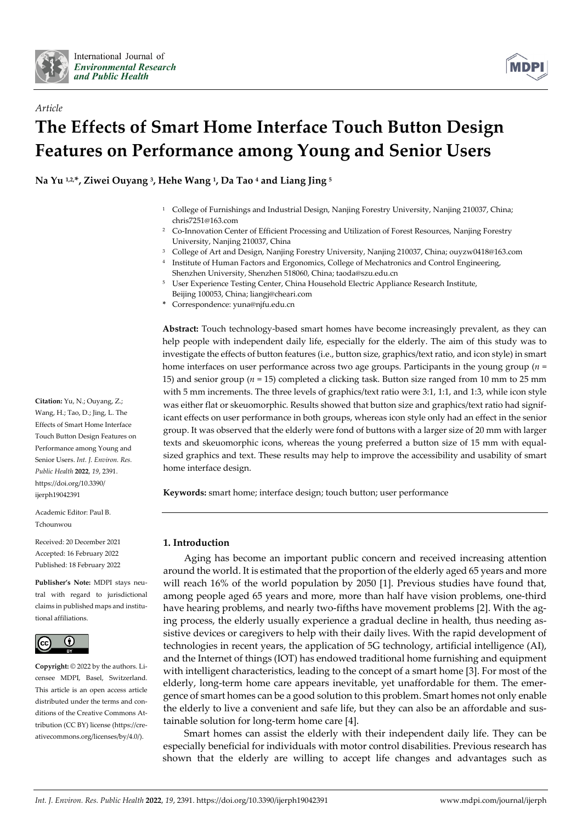

*Article*



# **The Effects of Smart Home Interface Touch Button Design Features on Performance among Young and Senior Users**

**Na Yu 1,2, \*, Ziwei Ouyang 3, Hehe Wang 1, Da Tao 4 and Liang Jing 5**

- <sup>1</sup> College of Furnishings and Industrial Design, Nanjing Forestry University, Nanjing 210037, China; chris7251@163.com
- <sup>2</sup> Co-Innovation Center of Efficient Processing and Utilization of Forest Resources, Nanjing Forestry University, Nanjing 210037, China
- <sup>3</sup> College of Art and Design, Nanjing Forestry University, Nanjing 210037, China; ouyzw0418@163.com
- <sup>4</sup> Institute of Human Factors and Ergonomics, College of Mechatronics and Control Engineering, Shenzhen University, Shenzhen 518060, China; taoda@szu.edu.cn
- <sup>5</sup> User Experience Testing Center, China Household Electric Appliance Research Institute, Beijing 100053, China; liangj@cheari.com
- **\*** Correspondence: yuna@njfu.edu.cn

**Abstract:** Touch technology-based smart homes have become increasingly prevalent, as they can help people with independent daily life, especially for the elderly. The aim of this study was to investigate the effects of button features (i.e., button size, graphics/text ratio, and icon style) in smart home interfaces on user performance across two age groups. Participants in the young group (*n* = 15) and senior group (*n* = 15) completed a clicking task. Button size ranged from 10 mm to 25 mm with 5 mm increments. The three levels of graphics/text ratio were 3:1, 1:1, and 1:3, while icon style was either flat or skeuomorphic. Results showed that button size and graphics/text ratio had significant effects on user performance in both groups, whereas icon style only had an effect in the senior group. It was observed that the elderly were fond of buttons with a larger size of 20 mm with larger texts and skeuomorphic icons, whereas the young preferred a button size of 15 mm with equalsized graphics and text. These results may help to improve the accessibility and usability of smart home interface design.

**Keywords:** smart home; interface design; touch button; user performance

# **1. Introduction**

Aging has become an important public concern and received increasing attention around the world. It is estimated that the proportion of the elderly aged 65 years and more will reach 16% of the world population by 2050 [1]. Previous studies have found that, among people aged 65 years and more, more than half have vision problems, one-third have hearing problems, and nearly two-fifths have movement problems [2]. With the aging process, the elderly usually experience a gradual decline in health, thus needing assistive devices or caregivers to help with their daily lives. With the rapid development of technologies in recent years, the application of 5G technology, artificial intelligence (AI), and the Internet of things (IOT) has endowed traditional home furnishing and equipment with intelligent characteristics, leading to the concept of a smart home [3]. For most of the elderly, long-term home care appears inevitable, yet unaffordable for them. The emergence of smart homes can be a good solution to this problem. Smart homes not only enable the elderly to live a convenient and safe life, but they can also be an affordable and sustainable solution for long-term home care [4].

Smart homes can assist the elderly with their independent daily life. They can be especially beneficial for individuals with motor control disabilities. Previous research has shown that the elderly are willing to accept life changes and advantages such as

**Citation:** Yu, N.; Ouyang, Z.; Wang, H.; Tao, D.; Jing, L. The Effects of Smart Home Interface Touch Button Design Features on Performance among Young and Senior Users. *Int. J. Environ. Res. Public Health* **2022**, *19*, 2391. https://doi.org/10.3390/ ijerph19042391

Academic Editor: Paul B. Tchounwou

Received: 20 December 2021 Accepted: 16 February 2022 Published: 18 February 2022

**Publisher's Note:** MDPI stays neutral with regard to jurisdictional claims in published maps and institutional affiliations.



**Copyright:** © 2022 by the authors. Licensee MDPI, Basel, Switzerland. This article is an open access article distributed under the terms and conditions of the Creative Commons Attribution (CC BY) license (https://creativecommons.org/licenses/by/4.0/).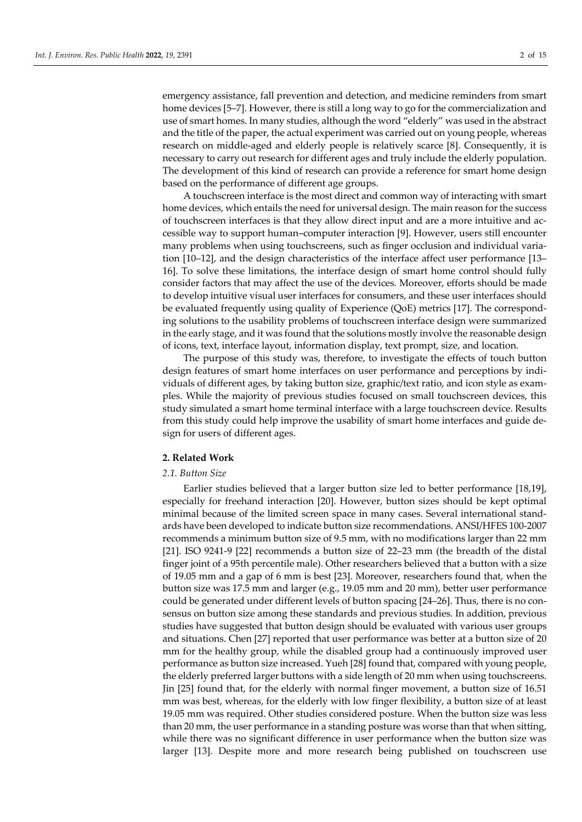emergency assistance, fall prevention and detection, and medicine reminders from smart home devices [5–7]. However, there is still a long way to go for the commercialization and use of smart homes. In many studies, although the word "elderly" was used in the abstract and the title of the paper, the actual experiment was carried out on young people, whereas research on middle-aged and elderly people is relatively scarce [8]. Consequently, it is necessary to carry out research for different ages and truly include the elderly population. The development of this kind of research can provide a reference for smart home design based on the performance of different age groups.

A touchscreen interface is the most direct and common way of interacting with smart home devices, which entails the need for universal design. The main reason for the success of touchscreen interfaces is that they allow direct input and are a more intuitive and accessible way to support human–computer interaction [9]. However, users still encounter many problems when using touchscreens, such as finger occlusion and individual variation [10–12], and the design characteristics of the interface affect user performance [13– 16]. To solve these limitations, the interface design of smart home control should fully consider factors that may affect the use of the devices. Moreover, efforts should be made to develop intuitive visual user interfaces for consumers, and these user interfaces should be evaluated frequently using quality of Experience (QoE) metrics [17]. The corresponding solutions to the usability problems of touchscreen interface design were summarized in the early stage, and it was found that the solutions mostly involve the reasonable design of icons, text, interface layout, information display, text prompt, size, and location.

The purpose of this study was, therefore, to investigate the effects of touch button design features of smart home interfaces on user performance and perceptions by individuals of different ages, by taking button size, graphic/text ratio, and icon style as examples. While the majority of previous studies focused on small touchscreen devices, this study simulated a smart home terminal interface with a large touchscreen device. Results from this study could help improve the usability of smart home interfaces and guide design for users of different ages.

# **2. Related Work**

## *2.1. Button Size*

Earlier studies believed that a larger button size led to better performance [18,19], especially for freehand interaction [20]. However, button sizes should be kept optimal minimal because of the limited screen space in many cases. Several international standards have been developed to indicate button size recommendations. ANSI/HFES 100-2007 recommends a minimum button size of 9.5 mm, with no modifications larger than 22 mm [21]. ISO 9241-9 [22] recommends a button size of 22–23 mm (the breadth of the distal finger joint of a 95th percentile male). Other researchers believed that a button with a size of 19.05 mm and a gap of 6 mm is best [23]. Moreover, researchers found that, when the button size was 17.5 mm and larger (e.g., 19.05 mm and 20 mm), better user performance could be generated under different levels of button spacing [24–26]. Thus, there is no consensus on button size among these standards and previous studies. In addition, previous studies have suggested that button design should be evaluated with various user groups and situations. Chen [27] reported that user performance was better at a button size of 20 mm for the healthy group, while the disabled group had a continuously improved user performance as button size increased. Yueh [28] found that, compared with young people, the elderly preferred larger buttons with a side length of 20 mm when using touchscreens. Jin [25] found that, for the elderly with normal finger movement, a button size of 16.51 mm was best, whereas, for the elderly with low finger flexibility, a button size of at least 19.05 mm was required. Other studies considered posture. When the button size was less than 20 mm, the user performance in a standing posture was worse than that when sitting, while there was no significant difference in user performance when the button size was larger [13]. Despite more and more research being published on touchscreen use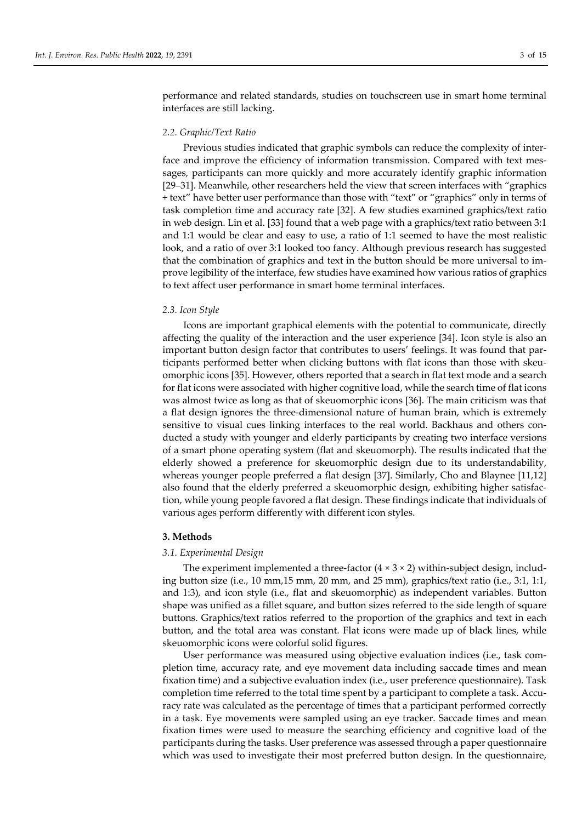performance and related standards, studies on touchscreen use in smart home terminal interfaces are still lacking.

# *2.2. Graphic/Text Ratio*

Previous studies indicated that graphic symbols can reduce the complexity of interface and improve the efficiency of information transmission. Compared with text messages, participants can more quickly and more accurately identify graphic information [29–31]. Meanwhile, other researchers held the view that screen interfaces with "graphics + text" have better user performance than those with "text" or "graphics" only in terms of task completion time and accuracy rate [32]. A few studies examined graphics/text ratio in web design. Lin et al. [33] found that a web page with a graphics/text ratio between 3:1 and 1:1 would be clear and easy to use, a ratio of 1:1 seemed to have the most realistic look, and a ratio of over 3:1 looked too fancy. Although previous research has suggested that the combination of graphics and text in the button should be more universal to improve legibility of the interface, few studies have examined how various ratios of graphics to text affect user performance in smart home terminal interfaces.

## *2.3. Icon Style*

Icons are important graphical elements with the potential to communicate, directly affecting the quality of the interaction and the user experience [34]. Icon style is also an important button design factor that contributes to users' feelings. It was found that participants performed better when clicking buttons with flat icons than those with skeuomorphic icons [35]. However, others reported that a search in flat text mode and a search for flat icons were associated with higher cognitive load, while the search time of flat icons was almost twice as long as that of skeuomorphic icons [36]. The main criticism was that a flat design ignores the three-dimensional nature of human brain, which is extremely sensitive to visual cues linking interfaces to the real world. Backhaus and others conducted a study with younger and elderly participants by creating two interface versions of a smart phone operating system (flat and skeuomorph). The results indicated that the elderly showed a preference for skeuomorphic design due to its understandability, whereas younger people preferred a flat design [37]. Similarly, Cho and Blaynee [11,12] also found that the elderly preferred a skeuomorphic design, exhibiting higher satisfaction, while young people favored a flat design. These findings indicate that individuals of various ages perform differently with different icon styles.

# **3. Methods**

#### *3.1. Experimental Design*

The experiment implemented a three-factor  $(4 \times 3 \times 2)$  within-subject design, including button size (i.e., 10 mm,15 mm, 20 mm, and 25 mm), graphics/text ratio (i.e., 3:1, 1:1, and 1:3), and icon style (i.e., flat and skeuomorphic) as independent variables. Button shape was unified as a fillet square, and button sizes referred to the side length of square buttons. Graphics/text ratios referred to the proportion of the graphics and text in each button, and the total area was constant. Flat icons were made up of black lines, while skeuomorphic icons were colorful solid figures.

User performance was measured using objective evaluation indices (i.e., task completion time, accuracy rate, and eye movement data including saccade times and mean fixation time) and a subjective evaluation index (i.e., user preference questionnaire). Task completion time referred to the total time spent by a participant to complete a task. Accuracy rate was calculated as the percentage of times that a participant performed correctly in a task. Eye movements were sampled using an eye tracker. Saccade times and mean fixation times were used to measure the searching efficiency and cognitive load of the participants during the tasks. User preference was assessed through a paper questionnaire which was used to investigate their most preferred button design. In the questionnaire,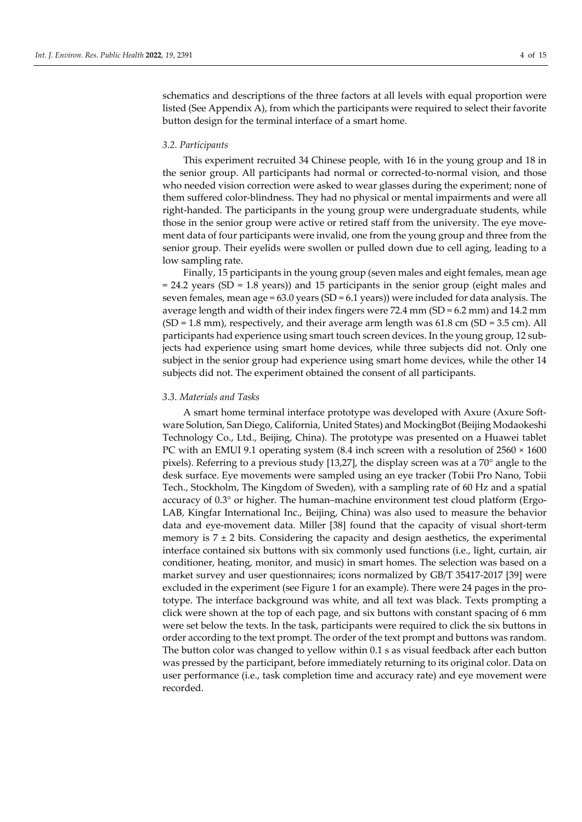schematics and descriptions of the three factors at all levels with equal proportion were listed (See Appendix A), from which the participants were required to select their favorite button design for the terminal interface of a smart home.

## *3.2. Participants*

This experiment recruited 34 Chinese people, with 16 in the young group and 18 in the senior group. All participants had normal or corrected-to-normal vision, and those who needed vision correction were asked to wear glasses during the experiment; none of them suffered color-blindness. They had no physical or mental impairments and were all right-handed. The participants in the young group were undergraduate students, while those in the senior group were active or retired staff from the university. The eye movement data of four participants were invalid, one from the young group and three from the senior group. Their eyelids were swollen or pulled down due to cell aging, leading to a low sampling rate.

Finally, 15 participants in the young group (seven males and eight females, mean age = 24.2 years (SD = 1.8 years)) and 15 participants in the senior group (eight males and seven females, mean age =  $63.0$  years (SD =  $6.1$  years)) were included for data analysis. The average length and width of their index fingers were  $72.4$  mm  $(SD = 6.2$  mm) and  $14.2$  mm  $(SD = 1.8$  mm), respectively, and their average arm length was 61.8 cm  $(SD = 3.5$  cm). All participants had experience using smart touch screen devices. In the young group, 12 subjects had experience using smart home devices, while three subjects did not. Only one subject in the senior group had experience using smart home devices, while the other 14 subjects did not. The experiment obtained the consent of all participants.

#### *3.3. Materials and Tasks*

A smart home terminal interface prototype was developed with Axure (Axure Software Solution, San Diego, California, United States) and MockingBot (Beijing Modaokeshi Technology Co., Ltd., Beijing, China). The prototype was presented on a Huawei tablet PC with an EMUI 9.1 operating system  $(8.4 \text{ inch screen with a resolution of } 2560 \times 1600$ pixels). Referring to a previous study [13,27], the display screen was at a 70° angle to the desk surface. Eye movements were sampled using an eye tracker (Tobii Pro Nano, Tobii Tech., Stockholm, The Kingdom of Sweden), with a sampling rate of 60 Hz and a spatial accuracy of 0.3° or higher. The human–machine environment test cloud platform (Ergo-LAB, Kingfar International Inc., Beijing, China) was also used to measure the behavior data and eye-movement data. Miller [38] found that the capacity of visual short-term memory is  $7 \pm 2$  bits. Considering the capacity and design aesthetics, the experimental interface contained six buttons with six commonly used functions (i.e., light, curtain, air conditioner, heating, monitor, and music) in smart homes. The selection was based on a market survey and user questionnaires; icons normalized by GB/T 35417-2017 [39] were excluded in the experiment (see Figure 1 for an example). There were 24 pages in the prototype. The interface background was white, and all text was black. Texts prompting a click were shown at the top of each page, and six buttons with constant spacing of 6 mm were set below the texts. In the task, participants were required to click the six buttons in order according to the text prompt. The order of the text prompt and buttons was random. The button color was changed to yellow within 0.1 s as visual feedback after each button was pressed by the participant, before immediately returning to its original color. Data on user performance (i.e., task completion time and accuracy rate) and eye movement were recorded.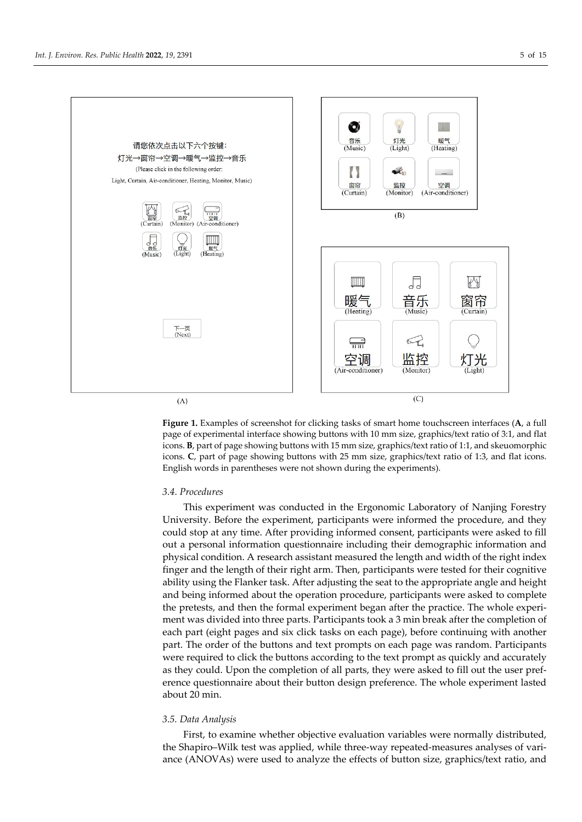

**Figure 1.** Examples of screenshot for clicking tasks of smart home touchscreen interfaces (**A**, a full page of experimental interface showing buttons with 10 mm size, graphics/text ratio of 3:1, and flat icons. **B**, part of page showing buttons with 15 mm size, graphics/text ratio of 1:1, and skeuomorphic icons. **C**, part of page showing buttons with 25 mm size, graphics/text ratio of 1:3, and flat icons. English words in parentheses were not shown during the experiments).

# *3.4. Procedures*

This experiment was conducted in the Ergonomic Laboratory of Nanjing Forestry University. Before the experiment, participants were informed the procedure, and they could stop at any time. After providing informed consent, participants were asked to fill out a personal information questionnaire including their demographic information and physical condition. A research assistant measured the length and width of the right index finger and the length of their right arm. Then, participants were tested for their cognitive ability using the Flanker task. After adjusting the seat to the appropriate angle and height and being informed about the operation procedure, participants were asked to complete the pretests, and then the formal experiment began after the practice. The whole experiment was divided into three parts. Participants took a 3 min break after the completion of each part (eight pages and six click tasks on each page), before continuing with another part. The order of the buttons and text prompts on each page was random. Participants were required to click the buttons according to the text prompt as quickly and accurately as they could. Upon the completion of all parts, they were asked to fill out the user preference questionnaire about their button design preference. The whole experiment lasted about 20 min.

# *3.5. Data Analysis*

First, to examine whether objective evaluation variables were normally distributed, the Shapiro–Wilk test was applied, while three-way repeated-measures analyses of variance (ANOVAs) were used to analyze the effects of button size, graphics/text ratio, and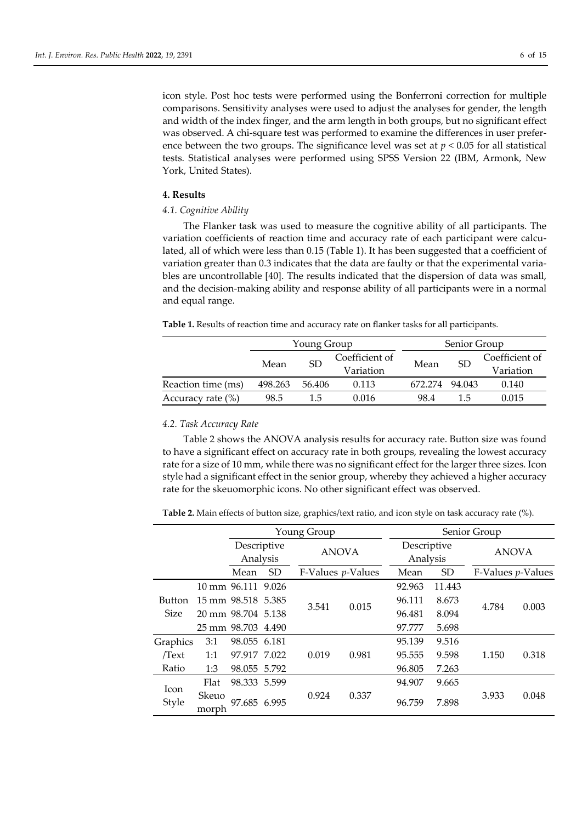icon style. Post hoc tests were performed using the Bonferroni correction for multiple comparisons. Sensitivity analyses were used to adjust the analyses for gender, the length and width of the index finger, and the arm length in both groups, but no significant effect was observed. A chi-square test was performed to examine the differences in user preference between the two groups. The significance level was set at *p* < 0.05 for all statistical tests. Statistical analyses were performed using SPSS Version 22 (IBM, Armonk, New York, United States).

# **4. Results**

# *4.1. Cognitive Ability*

The Flanker task was used to measure the cognitive ability of all participants. The variation coefficients of reaction time and accuracy rate of each participant were calculated, all of which were less than 0.15 (Table 1). It has been suggested that a coefficient of variation greater than 0.3 indicates that the data are faulty or that the experimental variables are uncontrollable [40]. The results indicated that the dispersion of data was small, and the decision-making ability and response ability of all participants were in a normal and equal range.

**Table 1.** Results of reaction time and accuracy rate on flanker tasks for all participants.

|                      |         | Young Group |                |         | Senior Group  |                |  |  |
|----------------------|---------|-------------|----------------|---------|---------------|----------------|--|--|
|                      | Mean    | <b>SD</b>   | Coefficient of | Mean    | <sub>SD</sub> | Coefficient of |  |  |
|                      |         |             | Variation      |         |               | Variation      |  |  |
| Reaction time (ms)   | 498.263 | 56.406      | 0.113          | 672.274 | 94.043        | 0.140          |  |  |
| Accuracy rate $(\%)$ | 98.5    | 1.5         | 0.016          | 98.4    | 15            | 0.015          |  |  |

# *4.2. Task Accuracy Rate*

Table 2 shows the ANOVA analysis results for accuracy rate. Button size was found to have a significant effect on accuracy rate in both groups, revealing the lowest accuracy rate for a size of 10 mm, while there was no significant effect for the larger three sizes. Icon style had a significant effect in the senior group, whereby they achieved a higher accuracy rate for the skeuomorphic icons. No other significant effect was observed.

**Table 2.** Main effects of button size, graphics/text ratio, and icon style on task accuracy rate (%).

|               |                    |                         |           | Young Group         |              |        | Senior Group            |                     |              |  |
|---------------|--------------------|-------------------------|-----------|---------------------|--------------|--------|-------------------------|---------------------|--------------|--|
|               |                    | Descriptive<br>Analysis |           |                     | <b>ANOVA</b> |        | Descriptive<br>Analysis |                     | <b>ANOVA</b> |  |
|               |                    | Mean                    | <b>SD</b> | $F-Values p-Values$ |              | Mean   | <b>SD</b>               | $F-Values p-Values$ |              |  |
|               |                    | 10 mm 96.111 9.026      |           |                     |              | 92.963 | 11.443                  |                     |              |  |
| <b>Button</b> |                    | 15 mm 98.518 5.385      |           | 3.541               | 0.015        | 96.111 | 8.673                   | 4.784               | 0.003        |  |
| <b>Size</b>   | 20 mm 98.704 5.138 |                         |           |                     |              | 96.481 | 8.094                   |                     |              |  |
|               |                    | 25 mm 98.703 4.490      |           |                     |              | 97.777 | 5.698                   |                     |              |  |
| Graphics      | 3:1                | 98.055 6.181            |           |                     |              | 95.139 | 9.516                   |                     |              |  |
| Text          | 1:1                | 97.917 7.022            |           | 0.019               | 0.981        | 95.555 | 9.598                   | 1.150               | 0.318        |  |
| Ratio         | 1:3                | 98.055 5.792            |           |                     |              | 96.805 | 7.263                   |                     |              |  |
| <b>Icon</b>   | Flat               | 98.333 5.599            |           |                     |              | 94.907 | 9.665                   |                     |              |  |
| Style         | Skeuo<br>morph     | 97.685 6.995            |           | 0.924               | 0.337        | 96.759 | 7.898                   | 3.933               | 0.048        |  |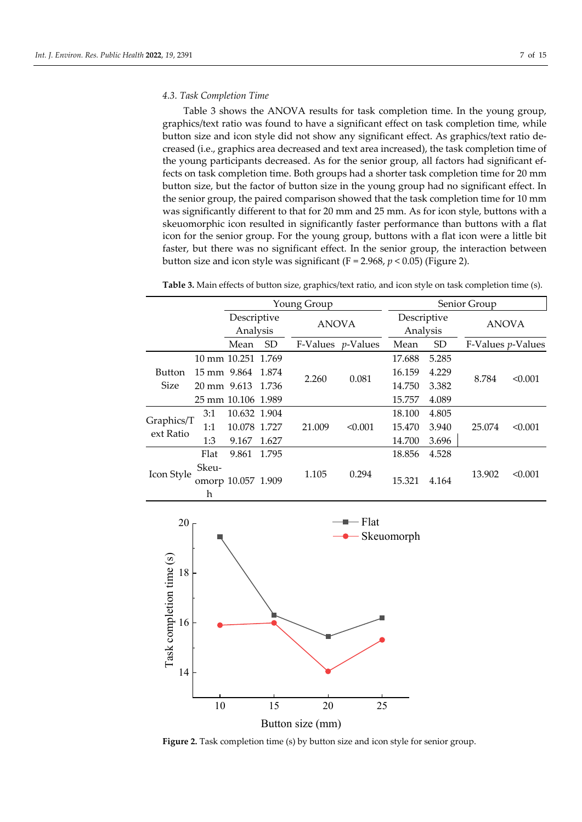### *4.3. Task Completion Time*

Table 3 shows the ANOVA results for task completion time. In the young group, graphics/text ratio was found to have a significant effect on task completion time, while button size and icon style did not show any significant effect. As graphics/text ratio decreased (i.e., graphics area decreased and text area increased), the task completion time of the young participants decreased. As for the senior group, all factors had significant effects on task completion time. Both groups had a shorter task completion time for 20 mm button size, but the factor of button size in the young group had no significant effect. In the senior group, the paired comparison showed that the task completion time for 10 mm was significantly different to that for 20 mm and 25 mm. As for icon style, buttons with a skeuomorphic icon resulted in significantly faster performance than buttons with a flat icon for the senior group. For the young group, buttons with a flat icon were a little bit faster, but there was no significant effect. In the senior group, the interaction between button size and icon style was significant (F = 2.968, *p* < 0.05) (Figure 2).

**Table 3.** Main effects of button size, graphics/text ratio, and icon style on task completion time (s).

|                         |                                  |              |           | Young Group |                           |        |                         | Senior Group      |              |
|-------------------------|----------------------------------|--------------|-----------|-------------|---------------------------|--------|-------------------------|-------------------|--------------|
|                         | Descriptive<br>Analysis          |              |           |             | <b>ANOVA</b>              |        | Descriptive<br>Analysis |                   | <b>ANOVA</b> |
|                         |                                  | Mean         | <b>SD</b> |             | F-Values <i>p</i> -Values | Mean   | <b>SD</b>               | F-Values p-Values |              |
|                         | 10 mm 10.251 1.769               |              |           |             |                           | 17.688 | 5.285                   |                   |              |
| <b>Button</b>           | 15 mm 9.864                      |              | 1.874     | 2.260       | 0.081                     | 16.159 | 4.229                   | 8.784             | < 0.001      |
| <b>Size</b>             | 20 mm 9.613 1.736                |              |           |             |                           | 14.750 | 3.382                   |                   |              |
|                         | 25 mm 10.106 1.989               |              |           |             |                           | 15.757 | 4.089                   |                   |              |
|                         | 3:1                              | 10.632 1.904 |           |             |                           | 18.100 | 4.805                   |                   |              |
| Graphics/T<br>ext Ratio | 1:1                              | 10.078 1.727 |           | 21.009      | < 0.001                   | 15.470 | 3.940                   | 25.074            | < 0.001      |
|                         | 1:3                              | 9.167        | 1.627     |             |                           | 14.700 | 3.696                   |                   |              |
|                         | Flat                             | 9.861        | 1.795     |             |                           | 18.856 | 4.528                   |                   |              |
| Icon Style              | Skeu-<br>omorp 10.057 1.909<br>h |              |           | 1.105       | 0.294                     | 15.321 | 4.164                   | 13.902            | < 0.001      |



Figure 2. Task completion time (s) by button size and icon style for senior group.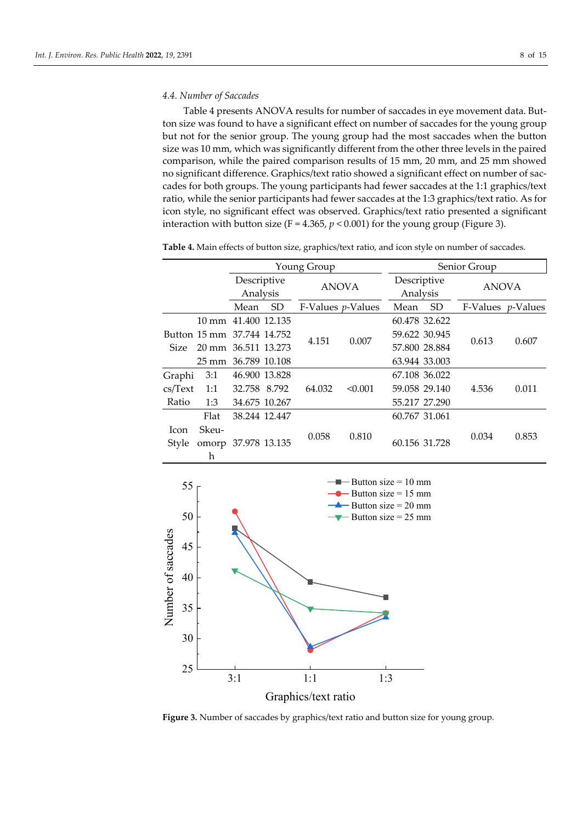### *4.4. Number of Saccades*

Table 4 presents ANOVA results for number of saccades in eye movement data. Button size was found to have a significant effect on number of saccades for the young group but not for the senior group. The young group had the most saccades when the button size was 10 mm, which was significantly different from the other three levels in the paired comparison, while the paired comparison results of 15 mm, 20 mm, and 25 mm showed no significant difference. Graphics/text ratio showed a significant effect on number of saccades for both groups. The young participants had fewer saccades at the 1:1 graphics/text ratio, while the senior participants had fewer saccades at the 1:3 graphics/text ratio. As for icon style, no significant effect was observed. Graphics/text ratio presented a significant interaction with button size ( $F = 4.365$ ,  $p < 0.001$ ) for the young group (Figure 3).

**Table 4.** Main effects of button size, graphics/text ratio, and icon style on number of saccades.

|             |                            | Young Group             |           |                      |         | Senior Group  |                         |                             |              |
|-------------|----------------------------|-------------------------|-----------|----------------------|---------|---------------|-------------------------|-----------------------------|--------------|
|             |                            | Descriptive<br>Analysis |           | <b>ANOVA</b>         |         |               | Descriptive<br>Analysis |                             | <b>ANOVA</b> |
|             |                            | Mean                    | <b>SD</b> | F-Values $p$ -Values |         | Mean          | SD <sub>1</sub>         | $F-Values$ <i>p</i> -Values |              |
|             | 10 mm 41.400 12.135        |                         |           |                      |         | 60.478 32.622 |                         |                             |              |
|             | Button 15 mm 37.744 14.752 |                         |           | 4.151                | 0.007   | 59.622 30.945 |                         | 0.613                       | 0.607        |
| <b>Size</b> | 20 mm 36.511 13.273        |                         |           |                      |         | 57.800 28.884 |                         |                             |              |
|             | 25 mm 36.789 10.108        |                         |           |                      |         | 63.944 33.003 |                         |                             |              |
| Graphi      | 3:1                        | 46.900 13.828           |           |                      |         | 67.108 36.022 |                         |                             |              |
| cs/Text     | 1:1                        | 32.758 8.792            |           | 64.032               | < 0.001 | 59.058 29.140 |                         | 4.536                       | 0.011        |
| Ratio       | 1:3                        | 34.675 10.267           |           |                      |         | 55.217 27.290 |                         |                             |              |
|             | Flat                       | 38.244 12.447           |           |                      |         | 60.767 31.061 |                         |                             |              |
| Icon        | Skeu-                      |                         |           | 0.058                | 0.810   |               |                         |                             |              |
| Style       | omorp 37.978 13.135        |                         |           |                      |         | 60.156 31.728 |                         | 0.034                       | 0.853        |
|             | h                          |                         |           |                      |         |               |                         |                             |              |



**Figure 3.** Number of saccades by graphics/text ratio and button size for young group.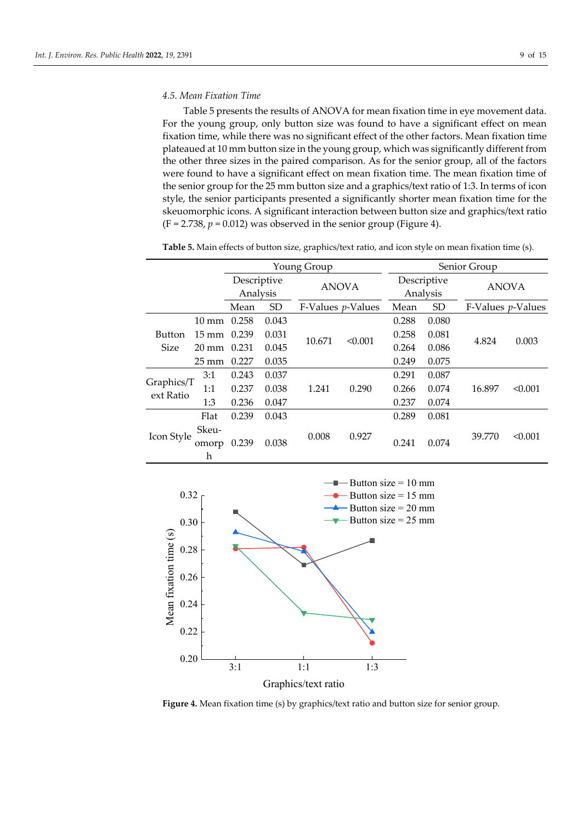## *4.5. Mean Fixation Time*

Table 5 presents the results of ANOVA for mean fixation time in eye movement data. For the young group, only button size was found to have a significant effect on mean fixation time, while there was no significant effect of the other factors. Mean fixation time plateaued at 10 mm button size in the young group, which was significantly different from the other three sizes in the paired comparison. As for the senior group, all of the factors were found to have a significant effect on mean fixation time. The mean fixation time of the senior group for the 25 mm button size and a graphics/text ratio of 1:3. In terms of icon style, the senior participants presented a significantly shorter mean fixation time for the skeuomorphic icons. A significant interaction between button size and graphics/text ratio  $(F = 2.738, p = 0.012)$  was observed in the senior group (Figure 4).

**Table 5.** Main effects of button size, graphics/text ratio, and icon style on mean fixation time (s).

|                              |                       |                         |           | Young Group               |         | Senior Group            |       |                     |         |
|------------------------------|-----------------------|-------------------------|-----------|---------------------------|---------|-------------------------|-------|---------------------|---------|
|                              |                       | Descriptive<br>Analysis |           | <b>ANOVA</b>              |         | Descriptive<br>Analysis |       | <b>ANOVA</b>        |         |
|                              |                       | Mean                    | <b>SD</b> | F-Values <i>p</i> -Values |         | Mean                    | SD    | $F-Values p-Values$ |         |
|                              | 10 mm                 | 0.258                   | 0.043     |                           |         | 0.288                   | 0.080 |                     |         |
| <b>Button</b><br><b>Size</b> | $15 \text{ mm}$ 0.239 |                         | 0.031     | 10.671                    | < 0.001 | 0.258                   | 0.081 |                     | 0.003   |
|                              | $20 \text{ mm}$ 0.231 |                         | 0.045     |                           |         | 0.264                   | 0.086 | 4.824               |         |
|                              | $25 \,\mathrm{mm}$    | 0.227                   | 0.035     |                           |         | 0.249                   | 0.075 |                     |         |
|                              | 3:1                   | 0.243                   | 0.037     |                           |         | 0.291                   | 0.087 |                     |         |
| Graphics/T<br>ext Ratio      | 1:1                   | 0.237                   | 0.038     | 1.241                     | 0.290   | 0.266                   | 0.074 | 16.897              | < 0.001 |
|                              | 1:3                   | 0.236                   | 0.047     |                           |         | 0.237                   | 0.074 |                     |         |
|                              | Flat                  | 0.239                   | 0.043     |                           |         | 0.289                   | 0.081 |                     |         |
| Icon Style                   | Skeu-<br>omorp<br>h   | 0.239                   | 0.038     | 0.008                     | 0.927   | 0.241                   | 0.074 | 39.770              | < 0.001 |



**Figure 4.** Mean fixation time (s) by graphics/text ratio and button size for senior group.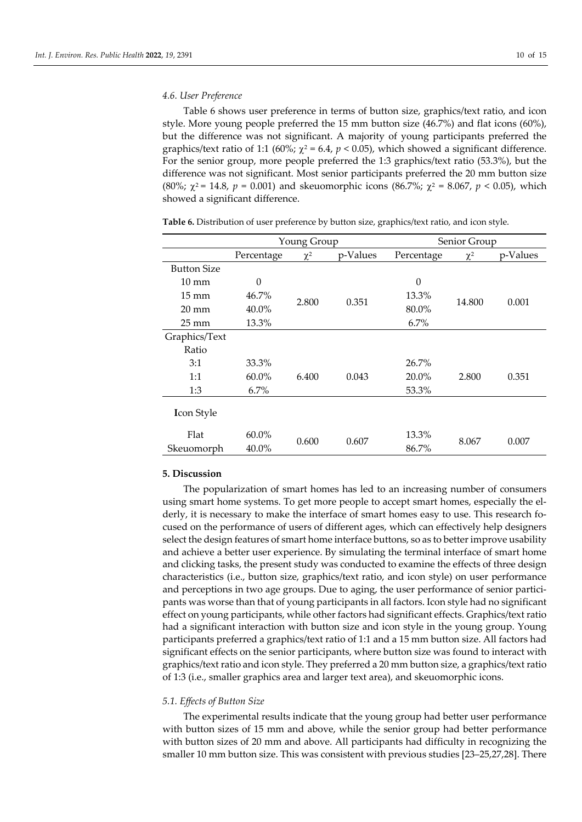## *4.6. User Preference*

Table 6 shows user preference in terms of button size, graphics/text ratio, and icon style. More young people preferred the 15 mm button size (46.7%) and flat icons (60%), but the difference was not significant. A majority of young participants preferred the graphics/text ratio of 1:1 (60%;  $\chi^2$  = 6.4,  $p$  < 0.05), which showed a significant difference. For the senior group, more people preferred the 1:3 graphics/text ratio (53.3%), but the difference was not significant. Most senior participants preferred the 20 mm button size (80%; χ<sup>2</sup> = 14.8, *p* = 0.001) and skeuomorphic icons (86.7%; χ<sup>2</sup> = 8.067, *p* < 0.05), which showed a significant difference.

|                    |            | Young Group    |          | Senior Group |          |          |  |
|--------------------|------------|----------------|----------|--------------|----------|----------|--|
|                    | Percentage | $\chi^2$       | p-Values | Percentage   | $\chi^2$ | p-Values |  |
| <b>Button Size</b> |            |                |          |              |          |          |  |
| $10 \text{ mm}$    | $\theta$   |                |          | $\theta$     |          |          |  |
| $15 \text{ mm}$    | $46.7\%$   | 2.800          | 0.351    | 13.3%        |          | 0.001    |  |
| $20 \text{ mm}$    | $40.0\%$   |                |          | 80.0%        | 14.800   |          |  |
| $25 \,\mathrm{mm}$ | 13.3%      |                |          | 6.7%         |          |          |  |
| Graphics/Text      |            |                |          |              |          |          |  |
| Ratio              |            |                |          |              |          |          |  |
| 3:1                | 33.3%      |                |          | 26.7%        |          |          |  |
| 1:1                | $60.0\%$   | 6.400          | 0.043    | 20.0%        | 2.800    | 0.351    |  |
| 1:3                | $6.7\%$    |                |          | 53.3%        |          |          |  |
| <b>Icon Style</b>  |            |                |          |              |          |          |  |
| Flat               | $60.0\%$   |                |          | 13.3%        |          |          |  |
| Skeuomorph         | 40.0%      | 0.600<br>0.607 |          | 86.7%        | 8.067    | 0.007    |  |

**Table 6.** Distribution of user preference by button size, graphics/text ratio, and icon style.

# **5. Discussion**

The popularization of smart homes has led to an increasing number of consumers using smart home systems. To get more people to accept smart homes, especially the elderly, it is necessary to make the interface of smart homes easy to use. This research focused on the performance of users of different ages, which can effectively help designers select the design features of smart home interface buttons, so as to better improve usability and achieve a better user experience. By simulating the terminal interface of smart home and clicking tasks, the present study was conducted to examine the effects of three design characteristics (i.e., button size, graphics/text ratio, and icon style) on user performance and perceptions in two age groups. Due to aging, the user performance of senior participants was worse than that of young participants in all factors. Icon style had no significant effect on young participants, while other factors had significant effects. Graphics/text ratio had a significant interaction with button size and icon style in the young group. Young participants preferred a graphics/text ratio of 1:1 and a 15 mm button size. All factors had significant effects on the senior participants, where button size was found to interact with graphics/text ratio and icon style. They preferred a 20 mm button size, a graphics/text ratio of 1:3 (i.e., smaller graphics area and larger text area), and skeuomorphic icons.

## *5.1. Effects of Button Size*

The experimental results indicate that the young group had better user performance with button sizes of 15 mm and above, while the senior group had better performance with button sizes of 20 mm and above. All participants had difficulty in recognizing the smaller 10 mm button size. This was consistent with previous studies [23–25,27,28]. There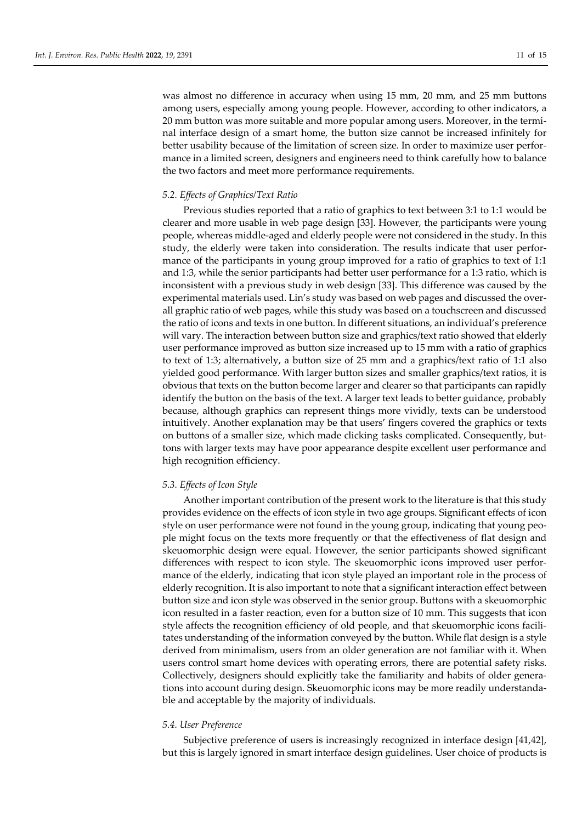was almost no difference in accuracy when using 15 mm, 20 mm, and 25 mm buttons among users, especially among young people. However, according to other indicators, a 20 mm button was more suitable and more popular among users. Moreover, in the terminal interface design of a smart home, the button size cannot be increased infinitely for better usability because of the limitation of screen size. In order to maximize user performance in a limited screen, designers and engineers need to think carefully how to balance the two factors and meet more performance requirements.

### *5.2. Effects of Graphics/Text Ratio*

Previous studies reported that a ratio of graphics to text between 3:1 to 1:1 would be clearer and more usable in web page design [33]. However, the participants were young people, whereas middle-aged and elderly people were not considered in the study. In this study, the elderly were taken into consideration. The results indicate that user performance of the participants in young group improved for a ratio of graphics to text of 1:1 and 1:3, while the senior participants had better user performance for a 1:3 ratio, which is inconsistent with a previous study in web design [33]. This difference was caused by the experimental materials used. Lin's study was based on web pages and discussed the overall graphic ratio of web pages, while this study was based on a touchscreen and discussed the ratio of icons and texts in one button. In different situations, an individual's preference will vary. The interaction between button size and graphics/text ratio showed that elderly user performance improved as button size increased up to 15 mm with a ratio of graphics to text of 1:3; alternatively, a button size of 25 mm and a graphics/text ratio of 1:1 also yielded good performance. With larger button sizes and smaller graphics/text ratios, it is obvious that texts on the button become larger and clearer so that participants can rapidly identify the button on the basis of the text. A larger text leads to better guidance, probably because, although graphics can represent things more vividly, texts can be understood intuitively. Another explanation may be that users' fingers covered the graphics or texts on buttons of a smaller size, which made clicking tasks complicated. Consequently, buttons with larger texts may have poor appearance despite excellent user performance and high recognition efficiency.

## *5.3. Effects of Icon Style*

Another important contribution of the present work to the literature is that this study provides evidence on the effects of icon style in two age groups. Significant effects of icon style on user performance were not found in the young group, indicating that young people might focus on the texts more frequently or that the effectiveness of flat design and skeuomorphic design were equal. However, the senior participants showed significant differences with respect to icon style. The skeuomorphic icons improved user performance of the elderly, indicating that icon style played an important role in the process of elderly recognition. It is also important to note that a significant interaction effect between button size and icon style was observed in the senior group. Buttons with a skeuomorphic icon resulted in a faster reaction, even for a button size of 10 mm. This suggests that icon style affects the recognition efficiency of old people, and that skeuomorphic icons facilitates understanding of the information conveyed by the button. While flat design is a style derived from minimalism, users from an older generation are not familiar with it. When users control smart home devices with operating errors, there are potential safety risks. Collectively, designers should explicitly take the familiarity and habits of older generations into account during design. Skeuomorphic icons may be more readily understandable and acceptable by the majority of individuals.

#### *5.4. User Preference*

Subjective preference of users is increasingly recognized in interface design [41,42], but this is largely ignored in smart interface design guidelines. User choice of products is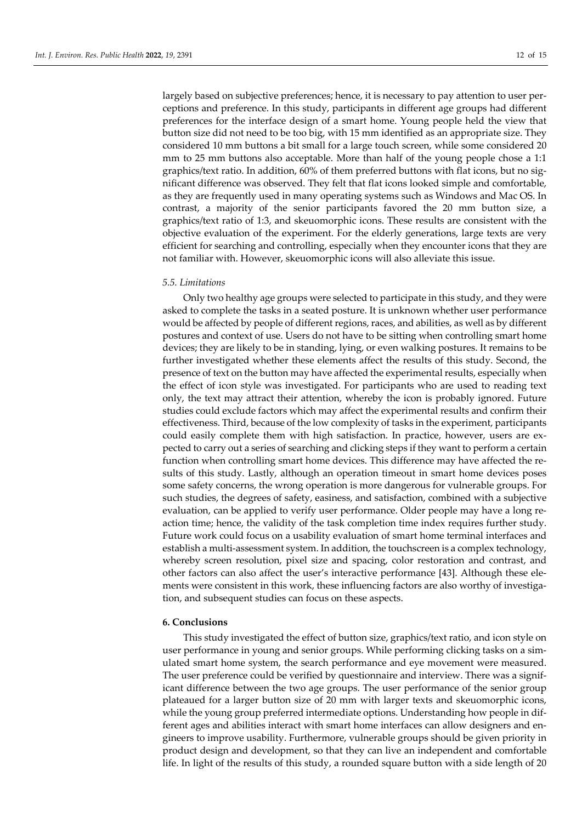largely based on subjective preferences; hence, it is necessary to pay attention to user perceptions and preference. In this study, participants in different age groups had different preferences for the interface design of a smart home. Young people held the view that button size did not need to be too big, with 15 mm identified as an appropriate size. They considered 10 mm buttons a bit small for a large touch screen, while some considered 20 mm to 25 mm buttons also acceptable. More than half of the young people chose a 1:1 graphics/text ratio. In addition, 60% of them preferred buttons with flat icons, but no significant difference was observed. They felt that flat icons looked simple and comfortable, as they are frequently used in many operating systems such as Windows and Mac OS. In contrast, a majority of the senior participants favored the 20 mm button size, a graphics/text ratio of 1:3, and skeuomorphic icons. These results are consistent with the objective evaluation of the experiment. For the elderly generations, large texts are very efficient for searching and controlling, especially when they encounter icons that they are not familiar with. However, skeuomorphic icons will also alleviate this issue.

# *5.5. Limitations*

Only two healthy age groups were selected to participate in this study, and they were asked to complete the tasks in a seated posture. It is unknown whether user performance would be affected by people of different regions, races, and abilities, as well as by different postures and context of use. Users do not have to be sitting when controlling smart home devices; they are likely to be in standing, lying, or even walking postures. It remains to be further investigated whether these elements affect the results of this study. Second, the presence of text on the button may have affected the experimental results, especially when the effect of icon style was investigated. For participants who are used to reading text only, the text may attract their attention, whereby the icon is probably ignored. Future studies could exclude factors which may affect the experimental results and confirm their effectiveness. Third, because of the low complexity of tasks in the experiment, participants could easily complete them with high satisfaction. In practice, however, users are expected to carry out a series of searching and clicking steps if they want to perform a certain function when controlling smart home devices. This difference may have affected the results of this study. Lastly, although an operation timeout in smart home devices poses some safety concerns, the wrong operation is more dangerous for vulnerable groups. For such studies, the degrees of safety, easiness, and satisfaction, combined with a subjective evaluation, can be applied to verify user performance. Older people may have a long reaction time; hence, the validity of the task completion time index requires further study. Future work could focus on a usability evaluation of smart home terminal interfaces and establish a multi-assessment system. In addition, the touchscreen is a complex technology, whereby screen resolution, pixel size and spacing, color restoration and contrast, and other factors can also affect the user's interactive performance [43]. Although these elements were consistent in this work, these influencing factors are also worthy of investigation, and subsequent studies can focus on these aspects.

## **6. Conclusions**

This study investigated the effect of button size, graphics/text ratio, and icon style on user performance in young and senior groups. While performing clicking tasks on a simulated smart home system, the search performance and eye movement were measured. The user preference could be verified by questionnaire and interview. There was a significant difference between the two age groups. The user performance of the senior group plateaued for a larger button size of 20 mm with larger texts and skeuomorphic icons, while the young group preferred intermediate options. Understanding how people in different ages and abilities interact with smart home interfaces can allow designers and engineers to improve usability. Furthermore, vulnerable groups should be given priority in product design and development, so that they can live an independent and comfortable life. In light of the results of this study, a rounded square button with a side length of 20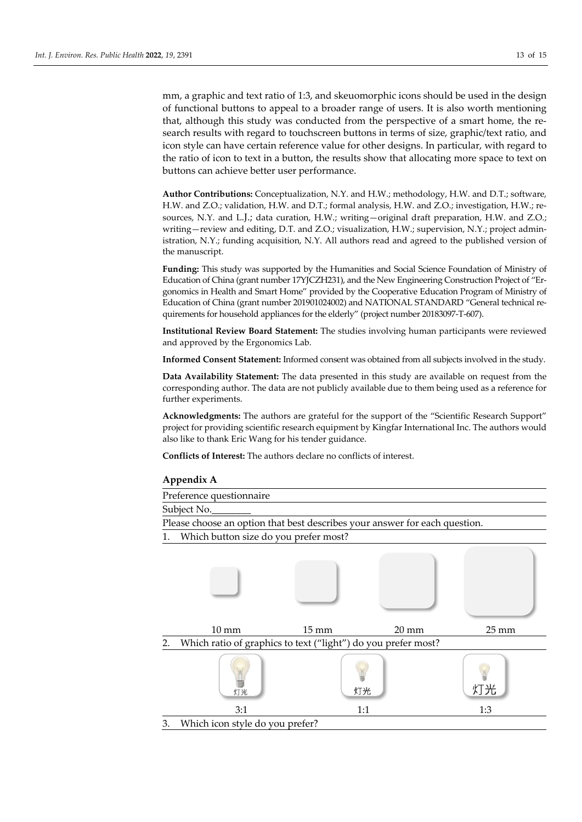mm, a graphic and text ratio of 1:3, and skeuomorphic icons should be used in the design of functional buttons to appeal to a broader range of users. It is also worth mentioning that, although this study was conducted from the perspective of a smart home, the research results with regard to touchscreen buttons in terms of size, graphic/text ratio, and icon style can have certain reference value for other designs. In particular, with regard to the ratio of icon to text in a button, the results show that allocating more space to text on buttons can achieve better user performance.

**Author Contributions:** Conceptualization, N.Y. and H.W.; methodology, H.W. and D.T.; software, H.W. and Z.O.; validation, H.W. and D.T.; formal analysis, H.W. and Z.O.; investigation, H.W.; resources, N.Y. and L.J.; data curation, H.W.; writing—original draft preparation, H.W. and Z.O.; writing—review and editing, D.T. and Z.O.; visualization, H.W.; supervision, N.Y.; project administration, N.Y.; funding acquisition, N.Y. All authors read and agreed to the published version of the manuscript.

**Funding:** This study was supported by the Humanities and Social Science Foundation of Ministry of Education of China (grant number 17YJCZH231), and the New Engineering Construction Project of "Ergonomics in Health and Smart Home" provided by the Cooperative Education Program of Ministry of Education of China (grant number 201901024002) and NATIONAL STANDARD "General technical requirements for household appliances for the elderly" (project number 20183097-T-607).

**Institutional Review Board Statement:** The studies involving human participants were reviewed and approved by the Ergonomics Lab.

**Informed Consent Statement:** Informed consent was obtained from all subjects involved in the study.

**Data Availability Statement:** The data presented in this study are available on request from the corresponding author. The data are not publicly available due to them being used as a reference for further experiments.

**Acknowledgments:** The authors are grateful for the support of the "Scientific Research Support" project for providing scientific research equipment by Kingfar International Inc. The authors would also like to thank Eric Wang for his tender guidance.

**Conflicts of Interest:** The authors declare no conflicts of interest.



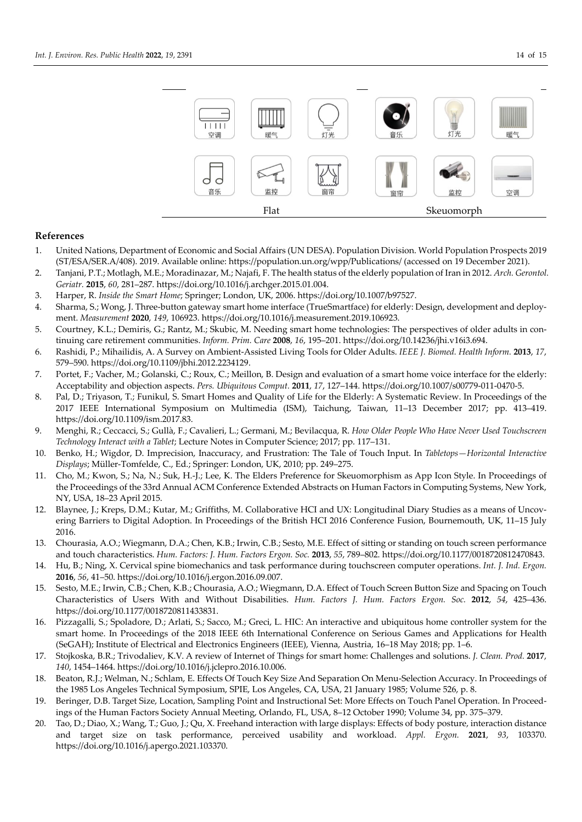

# **References**

- 1. United Nations, Department of Economic and Social Affairs (UN DESA). Population Division. World Population Prospects 2019 (ST/ESA/SER.A/408). 2019. Available online: https://population.un.org/wpp/Publications/ (accessed on 19 December 2021).
- 2. Tanjani, P.T.; Motlagh, M.E.; Moradinazar, M.; Najafi, F. The health status of the elderly population of Iran in 2012. *Arch. Gerontol. Geriatr.* **2015**, *60*, 281–287. https://doi.org/10.1016/j.archger.2015.01.004.
- 3. Harper, R. *Inside the Smart Home*; Springer; London, UK, 2006. https://doi.org/10.1007/b97527.
- 4. Sharma, S.; Wong, J. Three-button gateway smart home interface (TrueSmartface) for elderly: Design, development and deployment. *Measurement* **2020**, *149*, 106923. https://doi.org/10.1016/j.measurement.2019.106923.
- 5. Courtney, K.L.; Demiris, G.; Rantz, M.; Skubic, M. Needing smart home technologies: The perspectives of older adults in continuing care retirement communities. *Inform. Prim. Care* **2008**, *16*, 195–201. https://doi.org/10.14236/jhi.v16i3.694.
- 6. Rashidi, P.; Mihailidis, A. A Survey on Ambient-Assisted Living Tools for Older Adults. *IEEE J. Biomed. Health Inform.* **2013**, *17*, 579–590. https://doi.org/10.1109/jbhi.2012.2234129.
- 7. Portet, F.; Vacher, M.; Golanski, C.; Roux, C.; Meillon, B. Design and evaluation of a smart home voice interface for the elderly: Acceptability and objection aspects. *Pers. Ubiquitous Comput.* **2011**, *17*, 127–144. https://doi.org/10.1007/s00779-011-0470-5.
- 8. Pal, D.; Triyason, T.; Funikul, S. Smart Homes and Quality of Life for the Elderly: A Systematic Review. In Proceedings of the 2017 IEEE International Symposium on Multimedia (ISM), Taichung, Taiwan, 11–13 December 2017; pp. 413–419. https://doi.org/10.1109/ism.2017.83.
- 9. Menghi, R.; Ceccacci, S.; Gullà, F.; Cavalieri, L.; Germani, M.; Bevilacqua, R. *How Older People Who Have Never Used Touchscreen Technology Interact with a Tablet*; Lecture Notes in Computer Science; 2017; pp. 117–131.
- 10. Benko, H.; Wigdor, D. Imprecision, Inaccuracy, and Frustration: The Tale of Touch Input. In *Tabletops—Horizontal Interactive Displays*; Müller-Tomfelde, C., Ed.; Springer: London, UK, 2010; pp. 249–275.
- 11. Cho, M.; Kwon, S.; Na, N.; Suk, H.-J.; Lee, K. The Elders Preference for Skeuomorphism as App Icon Style. In Proceedings of the Proceedings of the 33rd Annual ACM Conference Extended Abstracts on Human Factors in Computing Systems, New York, NY, USA, 18–23 April 2015.
- 12. Blaynee, J.; Kreps, D.M.; Kutar, M.; Griffiths, M. Collaborative HCI and UX: Longitudinal Diary Studies as a means of Uncovering Barriers to Digital Adoption. In Proceedings of the British HCI 2016 Conference Fusion, Bournemouth, UK, 11–15 July 2016.
- 13. Chourasia, A.O.; Wiegmann, D.A.; Chen, K.B.; Irwin, C.B.; Sesto, M.E. Effect of sitting or standing on touch screen performance and touch characteristics. *Hum. Factors: J. Hum. Factors Ergon. Soc.* **2013**, *55*, 789–802. https://doi.org/10.1177/0018720812470843.
- 14. Hu, B.; Ning, X. Cervical spine biomechanics and task performance during touchscreen computer operations. *Int. J. Ind. Ergon.* **2016**, *56*, 41–50. https://doi.org/10.1016/j.ergon.2016.09.007.
- 15. Sesto, M.E.; Irwin, C.B.; Chen, K.B.; Chourasia, A.O.; Wiegmann, D.A. Effect of Touch Screen Button Size and Spacing on Touch Characteristics of Users With and Without Disabilities. *Hum. Factors J. Hum. Factors Ergon. Soc.* **2012**, *54*, 425–436. https://doi.org/10.1177/0018720811433831.
- 16. Pizzagalli, S.; Spoladore, D.; Arlati, S.; Sacco, M.; Greci, L. HIC: An interactive and ubiquitous home controller system for the smart home. In Proceedings of the 2018 IEEE 6th International Conference on Serious Games and Applications for Health (SeGAH); Institute of Electrical and Electronics Engineers (IEEE), Vienna, Austria, 16–18 May 2018; pp. 1–6.
- 17. Stojkoska, B.R.; Trivodaliev, K.V. A review of Internet of Things for smart home: Challenges and solutions. *J. Clean. Prod.* **2017**, *140*, 1454–1464. https://doi.org/10.1016/j.jclepro.2016.10.006.
- 18. Beaton, R.J.; Welman, N.; Schlam, E. Effects Of Touch Key Size And Separation On Menu-Selection Accuracy. In Proceedings of the 1985 Los Angeles Technical Symposium, SPIE, Los Angeles, CA, USA, 21 January 1985; Volume 526, p. 8.
- 19. Beringer, D.B. Target Size, Location, Sampling Point and Instructional Set: More Effects on Touch Panel Operation. In Proceedings of the Human Factors Society Annual Meeting, Orlando, FL, USA, 8–12 October 1990; Volume 34, pp. 375–379.
- 20. Tao, D.; Diao, X.; Wang, T.; Guo, J.; Qu, X. Freehand interaction with large displays: Effects of body posture, interaction distance and target size on task performance, perceived usability and workload. *Appl. Ergon.* **2021**, *93*, 103370. https://doi.org/10.1016/j.apergo.2021.103370.